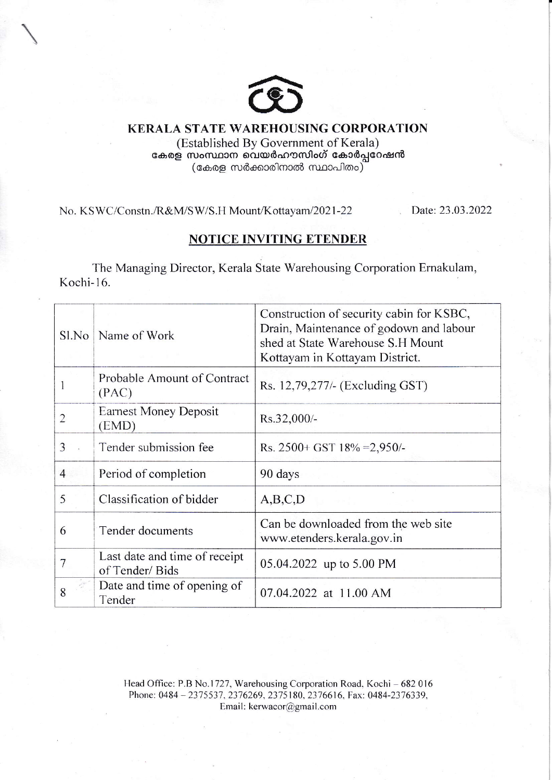

KERALA STATE WARBHOUSING CORPORATION (Established By Government of Kerala) കേരള സംസ്ഥാന വെയർഹൗസിംഗ് കോർപ്പറേഷൻ (കേരള സർക്കാരിനാൽ സ്ഥാപിതം)

No. KSWC/Constn./R&M/SW/S.H Mount/Kottayam/2021-22 Date: 23.03.2022

## NOTICE INVITING ETENDER

The Managing Director, Kerala State Warehousing Corporation Ernakulam, Kochi- 16.

| Sl.No          | Name of Work                                    | Construction of security cabin for KSBC,<br>Drain, Maintenance of godown and labour<br>shed at State Warehouse S.H Mount<br>Kottayam in Kottayam District. |  |  |
|----------------|-------------------------------------------------|------------------------------------------------------------------------------------------------------------------------------------------------------------|--|--|
|                | Probable Amount of Contract<br>(PAC)            | Rs. 12,79,277/- (Excluding GST)                                                                                                                            |  |  |
|                | <b>Earnest Money Deposit</b><br>(EMD)           | Rs.32,000/-                                                                                                                                                |  |  |
| 3              | Tender submission fee                           | Rs. $2500+$ GST $18\%$ = 2,950/-                                                                                                                           |  |  |
| $\overline{4}$ | Period of completion                            | 90 days                                                                                                                                                    |  |  |
| 5              | Classification of bidder                        | A,B,C,D                                                                                                                                                    |  |  |
| 6              | Tender documents                                | Can be downloaded from the web site<br>www.etenders.kerala.gov.in                                                                                          |  |  |
|                | Last date and time of receipt<br>of Tender/Bids | 05.04.2022 up to 5.00 PM                                                                                                                                   |  |  |
| 8              | Date and time of opening of<br>Tender           | 07.04.2022 at 11.00 AM                                                                                                                                     |  |  |

Head Office: P.B No.1727, Warehousing Corporation Road, Kochi - 682 016 Phone: 0484 - 2375537, 2376269, 2375180, 2376616, Fax: 0484-2376339, Email: kerwacor@gmail.com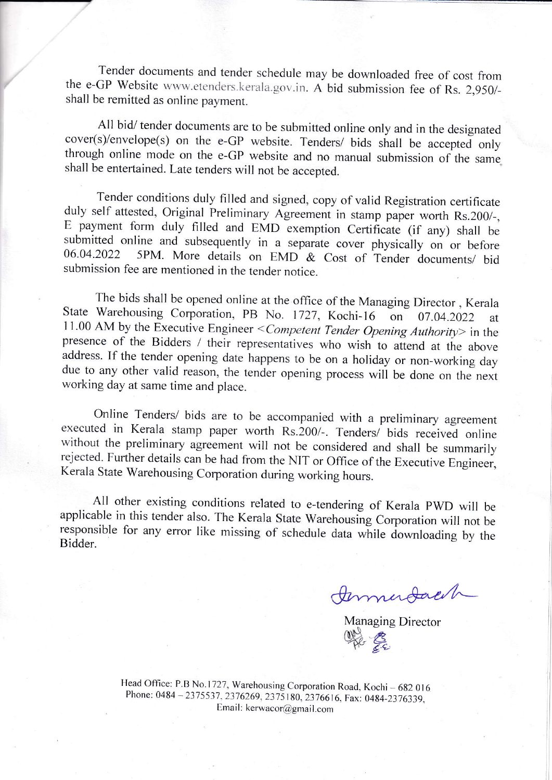Tender documents and tender schedule may be downloaded free of cost fiom the e-GP Website www.etenders.kerala.gov.in. A bid submission fee of Rs. 2,950/-<br>shall be remitted as online pour ant shall be remitted as online paymenr.

All bid/ tender documents are to be submitted online only and in the designated cover(s)/envelope(s) on the e-GP website. Tenders/ bids shall be accepted only through online mode on the e-GP website and no manual submission of the same shall be entertained. Late tenders will not be accepted.

Tender conditions duly filled and signed, copy of valid Registration certificate duly self attested, Original Preliminary Agreement in stamp paper worth Rs.200/-, E payment form duly filled and EMD exemption Certificate (if any) shall be submitted online and subsequently in a separate cover physically on or before  $06.04.2022$  5PM. More details on EMD & Cost of Tender documents/ bid submission fee are mentioned in the tender notice.

11.00 AM by the Executive Engineer < Competent Tender Opening Authority> in the presence of the Bidders / their representatives who wish to attend at the above address. If the tender opening date happens to be on a holiday or non-working day due to any other valid reason, the tender opening process will be done on the next working day at same time and place. The bids shall be opened online at the office of the Managing Director, Kerala State Warehousing Corporation, PB No. 1727, Kochi-16 on 07.04.2022 at

Online Tenders/ bids are to be accompanied with a preliminary agreement executed in Kerala stamp paper worth Rs.200/-. Tenders/ bids received online without the preliminary agreement will not be considered and shall be summarily rejected. Further details can be had from the NIT or Office of the Executive Engineer, Kerala State Warehousing Corporation during working hours.

All other existing conditions related to e-tendering of Kerala PWD will be applicable in this tender also. The Kerala State Warehousing Corporation will not be responsible for any error like missing of schedule data while

Immudach

Managing Director Whe Es

Head Office: P.B No.1727, Warehousing Corporation Road, Kochi - 682 016 Phone: 0484 - 2375537, 2376269, 2375180, 2376616, Fax: 0484-2376339, Email: kerwacor@gmail.com